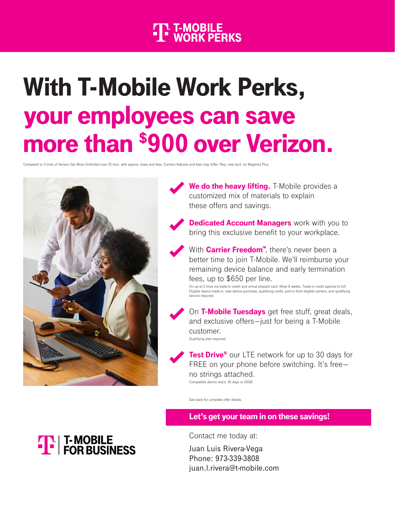## **THE T-MOBILE**<br>THE WORK PERKS

# With T-Mobile Work Perks, your employees can save more than \$900 over Verizon.

Compared to 3 lines of Verizon Get More Unlimited over 20 mos. with approx. taxes and fees. Carriers features and fees may differ. Req. new acct. on Magenta Plus.



We do the heavy lifting. T-Mobile provides a customized mix of materials to explain these offers and savings.



**Dedicated Account Managers** work with you to bring this exclusive benefit to your workplace.

With **Carrier Freedom™**, there's never been a better time to join T-Mobile. We'll reimburse your remaining device balance and early termination fees, up to \$650 per line.

On up to 5 lines via trade-in credit and virtual prepaid card. Allow 8 weeks. Trade-in credit applied to bill. Eligible device trade-in, new device purchase, qualifying credit, port-in from eligible carriers, and qualifying service required.



On T-Mobile Tuesdays get free stuff, great deals, and exclusive offers—just for being a T-Mobile customer. Qualifying plan required.

**Test Drive®** our LTE network for up to 30 days for FREE on your phone before switching. It's freeno strings attached. Compatible device req'd. 30 days or 30GB

See back for complete offer details.

#### Let's get your team in on these savings!

Contact me today at:

Juan Luis Rivera-Vega Phone: 973-339-3808 juan.l.rivera@t-mobile.com